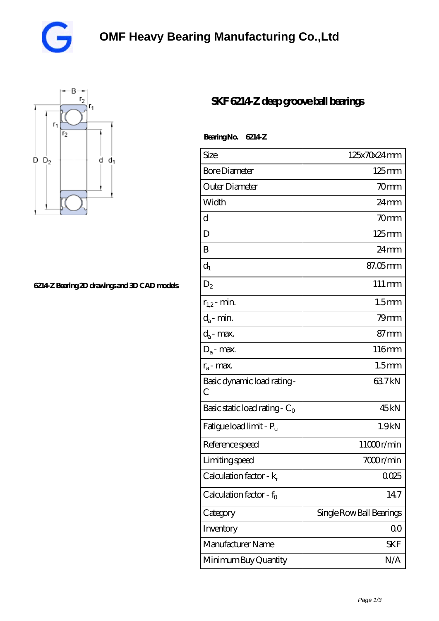



## **[6214-Z Bearing 2D drawings and 3D CAD models](https://vqjsx.com/pic-62093.html)**

## **[SKF 6214-Z deep groove ball bearings](https://vqjsx.com/at-62093-skf-6214-z-deep-groove-ball-bearings.html)**

Bearing No. 6214Z

| Size                                       | 125x70x24mm              |
|--------------------------------------------|--------------------------|
| <b>Bore Diameter</b>                       | $125 \,\mathrm{mm}$      |
| Outer Diameter                             | $70$ mm                  |
| Width                                      | $24 \,\mathrm{mm}$       |
| d                                          | 70mm                     |
| D                                          | $125 \,\mathrm{mm}$      |
| B                                          | 24 mm                    |
| $d_1$                                      | $87.05$ mm               |
| $D_2$                                      | $111 \,\mathrm{mm}$      |
| $r_{1,2}$ - min.                           | 1.5 <sub>mm</sub>        |
| $d_a$ - min.                               | $79$ mm                  |
| $d_a$ - max.                               | $87 \text{mm}$           |
| $D_a$ - max.                               | 116mm                    |
| $r_a$ - max.                               | 1.5 <sub>mm</sub>        |
| Basic dynamic load rating-<br>$\mathcal C$ | 637kN                    |
| Basic static load rating - $C_0$           | 45 <sub>kN</sub>         |
| Fatigue load limit - P <sub>u</sub>        | 1.9 <sub>kN</sub>        |
| Reference speed                            | 11000r/min               |
| Limiting speed                             | 7000r/min                |
| Calculation factor - $k_r$                 | 0025                     |
| Calculation factor - f <sub>o</sub>        | 147                      |
| Category                                   | Single Row Ball Bearings |
| Inventory                                  | 00                       |
| Manufacturer Name                          | SKF                      |
| Minimum Buy Quantity                       | N/A                      |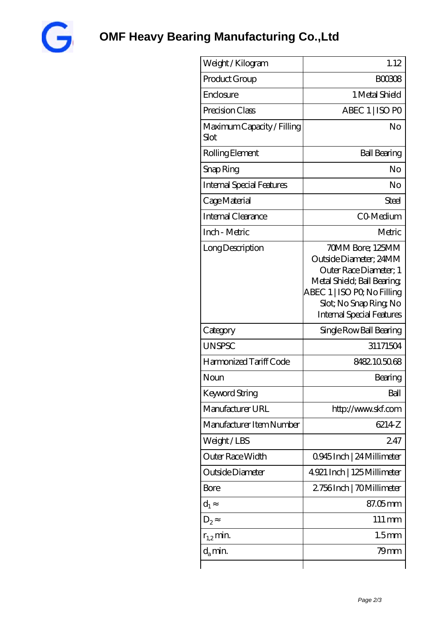

| Weight /Kilogram                   | 1.12                                                                                                                                                                                            |
|------------------------------------|-------------------------------------------------------------------------------------------------------------------------------------------------------------------------------------------------|
| Product Group                      | <b>BOO308</b>                                                                                                                                                                                   |
| Enclosure                          | 1 Metal Shield                                                                                                                                                                                  |
| Precision Class                    | ABEC 1   ISO PO                                                                                                                                                                                 |
| Maximum Capacity / Filling<br>Slot | No                                                                                                                                                                                              |
| Rolling Element                    | <b>Ball Bearing</b>                                                                                                                                                                             |
| Snap Ring                          | No                                                                                                                                                                                              |
| Internal Special Features          | No                                                                                                                                                                                              |
| Cage Material                      | Steel                                                                                                                                                                                           |
| Internal Clearance                 | CO-Medium                                                                                                                                                                                       |
| Inch - Metric                      | Metric                                                                                                                                                                                          |
| Long Description                   | 70MM Bore; 125MM<br>Outside Diameter; 24MM<br>Outer Race Diameter; 1<br>Metal Shield; Ball Bearing;<br>ABEC 1   ISO PQ No Filling<br>Slot; No Snap Ring, No<br><b>Internal Special Features</b> |
| Category                           | Single Row Ball Bearing                                                                                                                                                                         |
| <b>UNSPSC</b>                      | 31171504                                                                                                                                                                                        |
| Harmonized Tariff Code             | 8482105068                                                                                                                                                                                      |
| Noun                               | Bearing                                                                                                                                                                                         |
| Keyword String                     | Ball                                                                                                                                                                                            |
| Manufacturer URL                   | http://www.skf.com                                                                                                                                                                              |
| Manufacturer Item Number           | 6214 <sub>Z</sub>                                                                                                                                                                               |
| Weight/LBS                         | 247                                                                                                                                                                                             |
| Outer Race Width                   | 0945Inch   24 Millimeter                                                                                                                                                                        |
| Outside Diameter                   | 4.921 Inch   125 Millimeter                                                                                                                                                                     |
| <b>Bore</b>                        | 2756Inch   70Millimeter                                                                                                                                                                         |
| $d_1$                              | 87.05mm                                                                                                                                                                                         |
| $D_2$                              | $111 \,\mathrm{mm}$                                                                                                                                                                             |
| $r_{1,2}$ min.                     | 1.5 <sub>mm</sub>                                                                                                                                                                               |
| $d_a$ min.                         | 79mm                                                                                                                                                                                            |
|                                    |                                                                                                                                                                                                 |